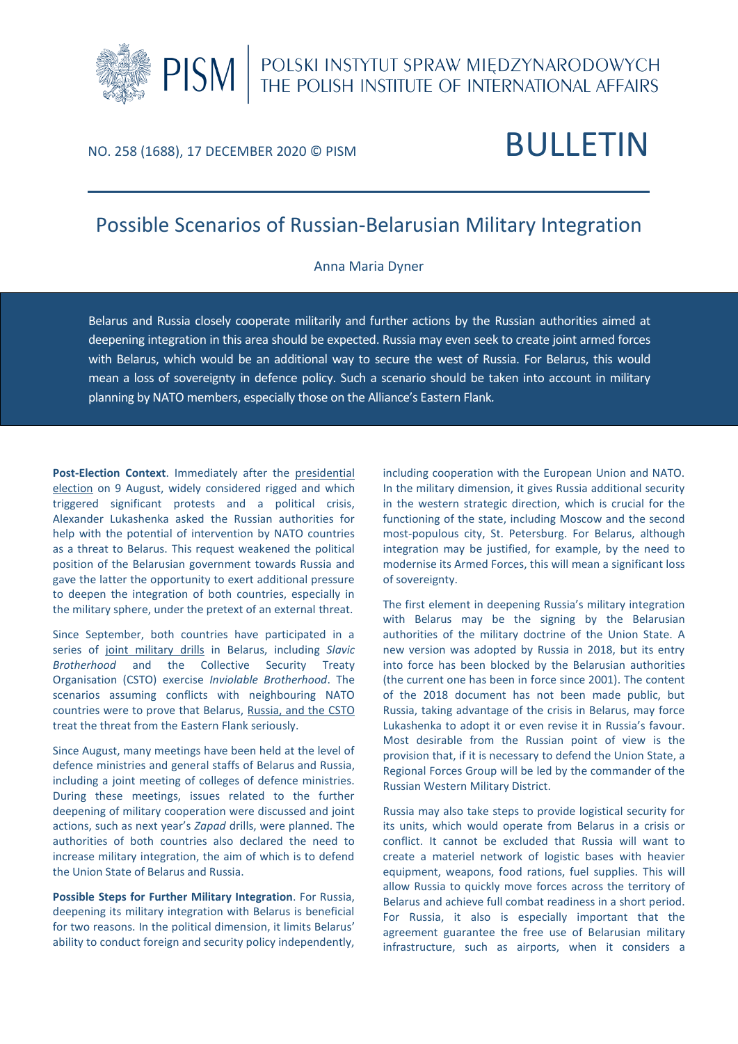# PISM | POLSKI INSTYTUT SPRAW MIĘDZYNARODOWYCH

## NO. 258 (1688), 17 DECEMBER 2020 © PISM BULLETIN

### Possible Scenarios of Russian-Belarusian Military Integration

#### Anna Maria Dyner

Belarus and Russia closely cooperate militarily and further actions by the Russian authorities aimed at deepening integration in this area should be expected. Russia may even seek to create joint armed forces with Belarus, which would be an additional way to secure the west of Russia. For Belarus, this would mean a loss of sovereignty in defence policy. Such a scenario should be taken into account in military planning by NATO members, especially those on the Alliance's Eastern Flank*.*

**Post-Election Context**. Immediately after the [presidential](https://www.pism.pl/publications/Belarusian_Presidential_Election__Towards_Dependence_on_Russia)  [election](https://www.pism.pl/publications/Belarusian_Presidential_Election__Towards_Dependence_on_Russia) on 9 August, widely considered rigged and which triggered significant protests and a political crisis, Alexander Lukashenka asked the Russian authorities for help with the potential of intervention by NATO countries as a threat to Belarus. This request weakened the political position of the Belarusian government towards Russia and gave the latter the opportunity to exert additional pressure to deepen the integration of both countries, especially in the military sphere, under the pretext of an external threat.

Since September, both countries have participated in a series of [joint military drills](https://www.pism.pl/publications/On_the_Training_Areas__of_the_Union_State_of_Belarus_and_Russia) in Belarus, including *Slavic Brotherhood* and the Collective Security Treaty Organisation (CSTO) exercise *Inviolable Brotherhood*. The scenarios assuming conflicts with neighbouring NATO countries were to prove that Belarus, Russia, [and the CSTO](https://www.pism.pl/publications/Russia_and_the_CSTO__in_the_Face_of_Destabilisation_in_the_Neighbourhood) treat the threat from the Eastern Flank seriously.

Since August, many meetings have been held at the level of defence ministries and general staffs of Belarus and Russia, including a joint meeting of colleges of defence ministries. During these meetings, issues related to the further deepening of military cooperation were discussed and joint actions, such as next year's *Zapad* drills, were planned. The authorities of both countries also declared the need to increase military integration, the aim of which is to defend the Union State of Belarus and Russia.

**Possible Steps for Further Military Integration**. For Russia, deepening its military integration with Belarus is beneficial for two reasons. In the political dimension, it limits Belarus' ability to conduct foreign and security policy independently,

including cooperation with the European Union and NATO. In the military dimension, it gives Russia additional security in the western strategic direction, which is crucial for the functioning of the state, including Moscow and the second most-populous city, St. Petersburg. For Belarus, although integration may be justified, for example, by the need to modernise its Armed Forces, this will mean a significant loss of sovereignty.

The first element in deepening Russia's military integration with Belarus may be the signing by the Belarusian authorities of the military doctrine of the Union State. A new version was adopted by Russia in 2018, but its entry into force has been blocked by the Belarusian authorities (the current one has been in force since 2001). The content of the 2018 document has not been made public, but Russia, taking advantage of the crisis in Belarus, may force Lukashenka to adopt it or even revise it in Russia's favour. Most desirable from the Russian point of view is the provision that, if it is necessary to defend the Union State, a Regional Forces Group will be led by the commander of the Russian Western Military District.

Russia may also take steps to provide logistical security for its units, which would operate from Belarus in a crisis or conflict. It cannot be excluded that Russia will want to create a materiel network of logistic bases with heavier equipment, weapons, food rations, fuel supplies. This will allow Russia to quickly move forces across the territory of Belarus and achieve full combat readiness in a short period. For Russia, it also is especially important that the agreement guarantee the free use of Belarusian military infrastructure, such as airports, when it considers a